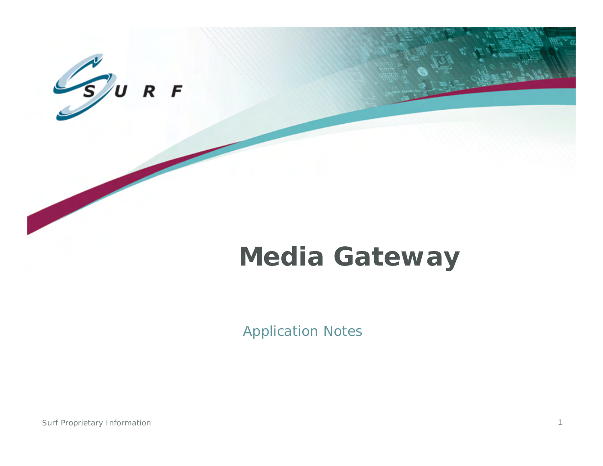

# **Media Gateway**

Application Notes

Surf Proprietary Information 1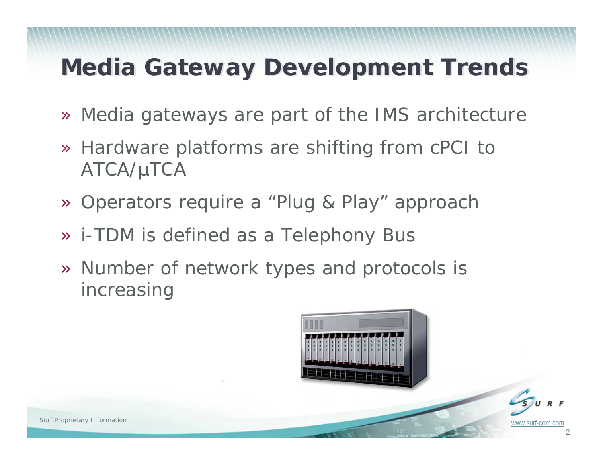## **Media Gateway Development Trends Media Gateway Development Trends**

- » Media gateways are part of the IMS architecture
- » Hardware platforms are shifting from cPCI to ATCA/µTCA
- » Operators require a "Plug & Play" approach
- » i-TDM is defined as a Telephony Bus
- » Number of network types and protocols is increasing

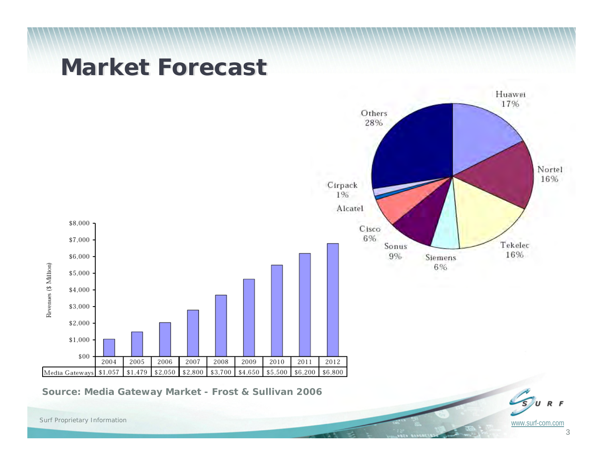#### **Market Forecast Market Forecast**



*Source: Media Gateway Market - Frost & Sullivan 2006*

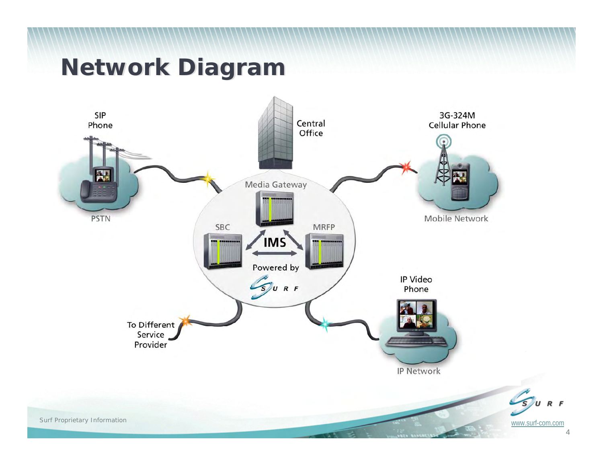### **Network Diagram Network Diagram**



4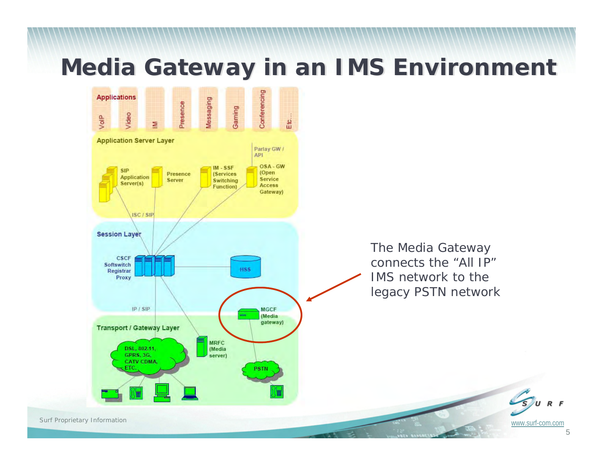#### **Media Gateway in an IMS Environment**

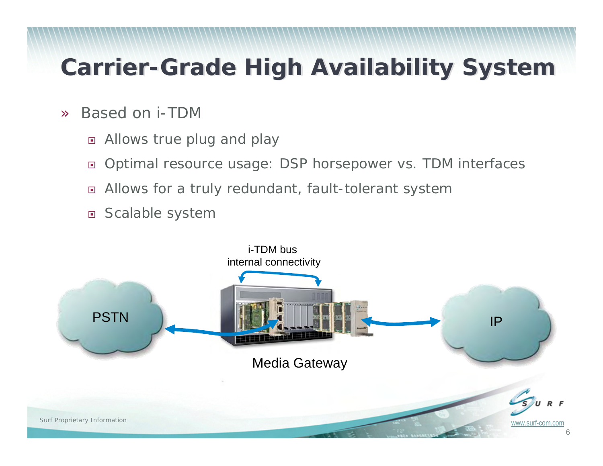## **Carrier-Grade High Availability System Carrier-Grade High Availability System**

- » Based on i-TDM
	- $\Box$ Allows true plug and play
	- $\Box$ Optimal resource usage: DSP horsepower vs. TDM interfaces
	- $\Box$ Allows for a truly redundant, fault-tolerant system
	- □ Scalable system

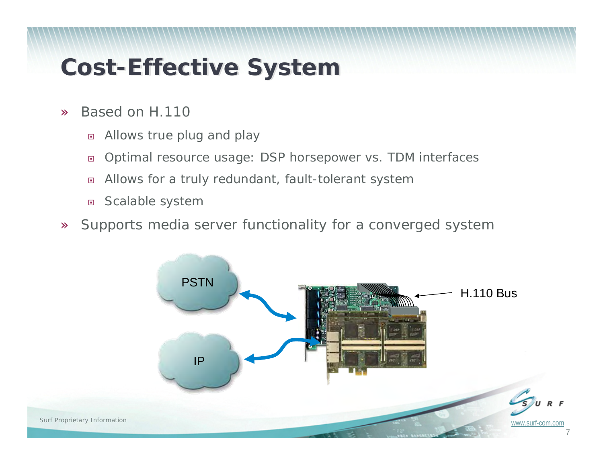## **Cost-Effective System Cost-Effective System**

- » Based on H.110
	- $\Box$ Allows true plug and play
	- $\Box$ Optimal resource usage: DSP horsepower vs. TDM interfaces
	- $\Box$ Allows for a truly redundant, fault-tolerant system
	- $\Box$ Scalable system
- »Supports media server functionality for a converged system

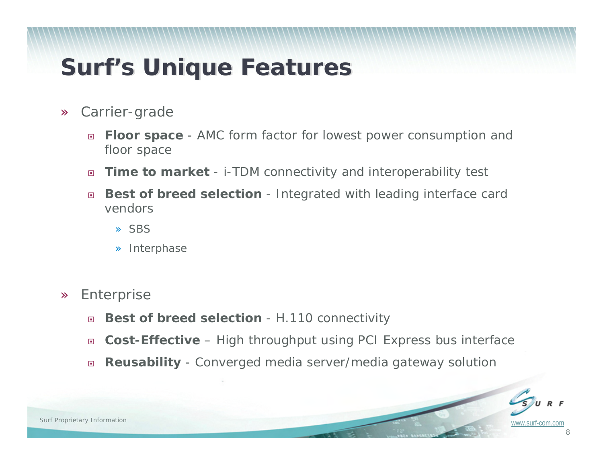### **Surf's Unique Features**

- » Carrier-grade
	- $\Box$  **Floor space** - AMC form factor for lowest power consumption and floor space
	- $\Box$ **Time to market** - i-TDM connectivity and interoperability test
	- $\Box$  **Best of breed selection** - Integrated with leading interface card vendors
		- » SBS
		- » Interphase
- » Enterprise
	- $\Box$ **Best of breed selection** - H.110 connectivity
	- $\Box$ **Cost-Effective** – High throughput using PCI Express bus interface
	- $\Box$ **Reusability** - Converged media server/media gateway solution

8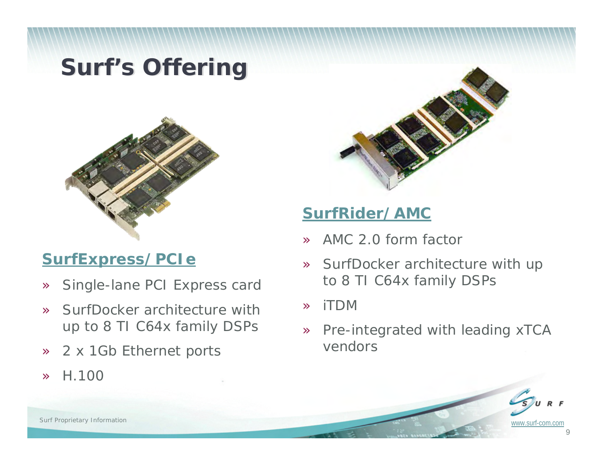### **Surf's Offering**



#### **[SurfExpress/PCIe](http://www.surf-com.com/media-processing-products/pci-express-board.html)**

- »Single-lane PCI Express card
- » SurfDocker architecture with up to 8 TI C64x family DSPs
- »2 x 1Gb Ethernet ports
- »H.100



#### **[SurfRider/AMC](http://www.surf-com.com/media-processing-products/amc-board.html)**

- »AMC 2.0 form factor
- » SurfDocker architecture with up to 8 TI C64x family DSPs
- »iTDM
- » Pre-integrated with leading xTCA vendors

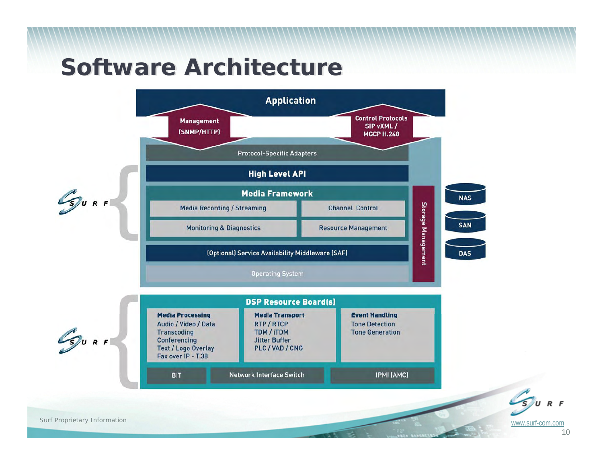### **Software Architecture**



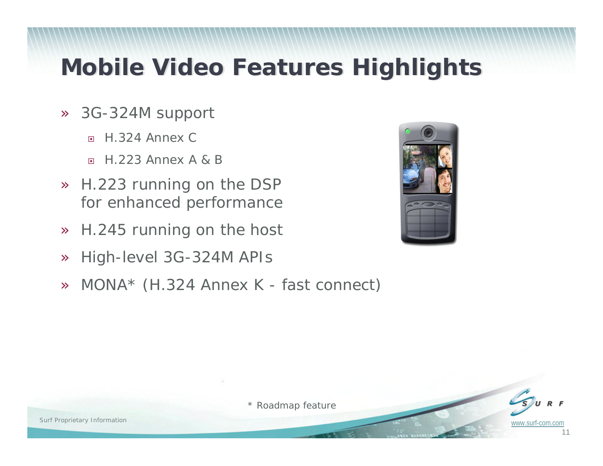## **Mobile Video Features Highlights Mobile Video Features Highlights**

- » 3G-324M support
	- $\Box$ H.324 Annex C
	- $\Box$ H.223 Annex A & B
- » H.223 running on the DSP for enhanced performance
- »H.245 running on the host
- »High-level 3G-324M APIs
- »MONA\* (H.324 Annex K - fast connect)





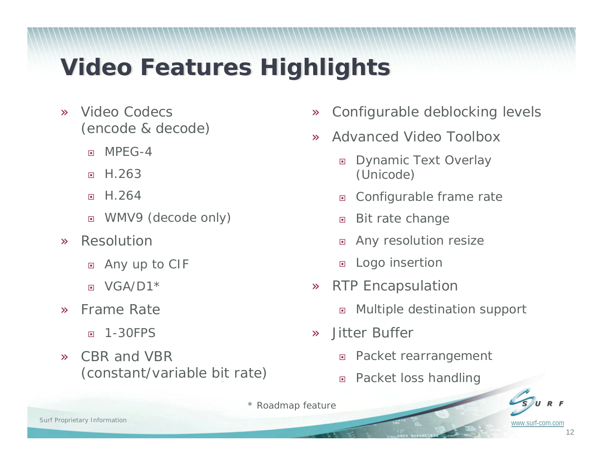## **Video Features Highlights Video Features Highlights**

- » Video Codecs (encode & decode)
	- $\Box$ MPEG-4
	- $\Box$ H.263
	- $\Box$ H.264
	- $\Box$ WMV9 (decode only)
- » Resolution
	- $\Box$ Any up to CIF
	- $\Box$  $VGA/D1*$
- » Frame Rate
	- $\Box$ 1-30FPS
- » CBR and VBR (constant/variable bit rate)
- »Configurable deblocking levels
- » Advanced Video Toolbox
	- $\Box$  Dynamic Text Overlay (Unicode)
	- $\Box$ Configurable frame rate
	- $\Box$ Bit rate change
	- $\Box$ Any resolution resize
	- $\Box$ Logo insertion
- » RTP Encapsulation
	- $\Box$ Multiple destination support
- » Jitter Buffer
	- $\Box$ Packet rearrangement
	- $\Box$ Packet loss handling

*\* Roadmap feature*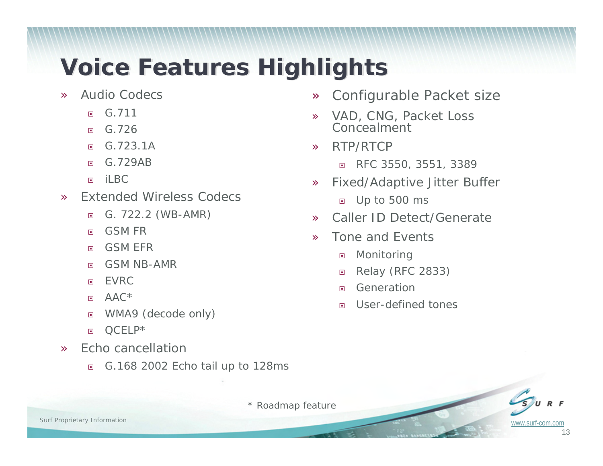## **Voice Features Highlights Voice Features Highlights**

- » Audio Codecs
	- $\Box$ G.711
	- $\Box$ G.726
	- $\Box$ G.723.1A
	- $\Box$ G.729AB
	- $\Box$ il BC
- » Extended Wireless Codecs
	- $\Box$ G. 722.2 (WB-AMR)
	- $\Box$ GSM FR
	- $\Box$ GSM EFR
	- 回 GSM NB-AMR
	- $\Box$ EVRC
	- $\Box$ AAC\*
	- 回 WMA9 (decode only)
	- $\Box$ QCELP\*
- » Echo cancellation
	- $\Box$ G.168 2002 Echo tail up to 128ms
- »Configurable Packet size
- » VAD, CNG, Packet Loss Concealment
- » RTP/RTCP
	- $\Box$ RFC 3550, 3551, 3389
- » Fixed/Adaptive Jitter Buffer
	- Up to 500 ms
- »Caller ID Detect/Generate
- » Tone and Events
	- $\Box$ Monitoring
	- $\Box$ Relay (RFC 2833)
	- $\Box$ Generation
	- $\Box$ User-defined tones

*\* Roadmap feature*

13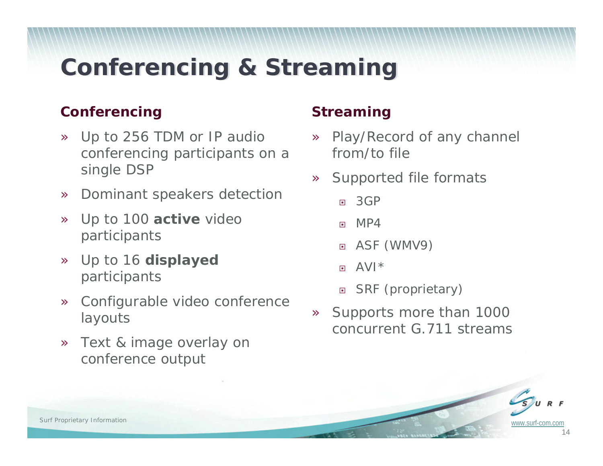## **Conferencing & Streaming Conferencing & Streaming**

#### **Conferencing**

- » Up to 256 TDM or IP audio conferencing participants on a single DSP
- »Dominant speakers detection
- » Up to 100 **active** video participants
- » Up to 16 **displayed**  participants
- » Configurable video conference layouts
- » Text & image overlay on conference output

#### **Streaming**

- » Play/Record of any channel from/to file
- » Supported file formats
	- $\Box$ 3GP
	- $\Box$ MP4
	- ASF (WMV9)
	- $\Box$ AVI\*
	- □ SRF (proprietary)
- » Supports more than 1000 concurrent G.711 streams

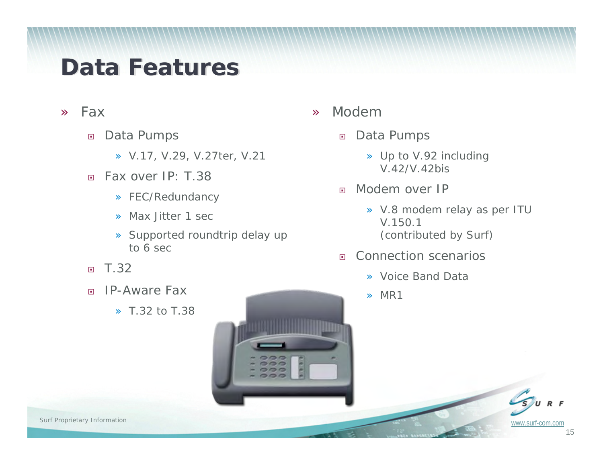## **Data Features**

- » Fax
	- $\Box$  Data Pumps
		- » V.17, V.29, V.27ter, V.21
	- $\Box$  Fax over IP: T.38
		- » FEC/Redundancy
		- » Max Jitter 1 sec
		- » Supported roundtrip delay up to 6 sec
	- $\Box$ T.32
	- $\Box$  IP-Aware Fax
		- » T.32 to T.38



- » Modem
	- $\Box$  Data Pumps
		- » Up to V.92 including V.42/V.42bis
	- $\Box$  Modem over IP
		- » V.8 modem relay as per ITU V.150.1 (contributed by Surf)
	- $\Box$  Connection scenarios
		- » Voice Band Data
		- » MR1

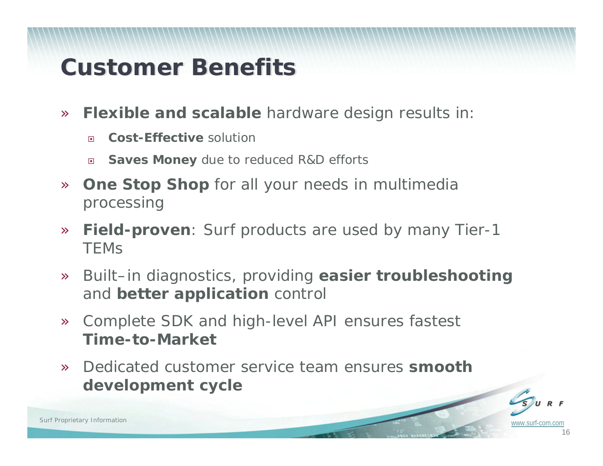## **Customer Benefits Customer Benefits**

- » **Flexible and scalable** hardware design results in:
	- $\Box$ **Cost-Effective** solution
	- $\Box$ **Saves Money** due to reduced R&D efforts
- » **One Stop Shop** for all your needs in multimedia processing
- » **Field-proven**: Surf products are used by many Tier-1 **TEMS**
- » Built–in diagnostics, providing **easier troubleshooting** and **better application** control
- » Complete SDK and high-level API ensures fastest **Time-to-Market**
- » Dedicated customer service team ensures **smooth development cycle**